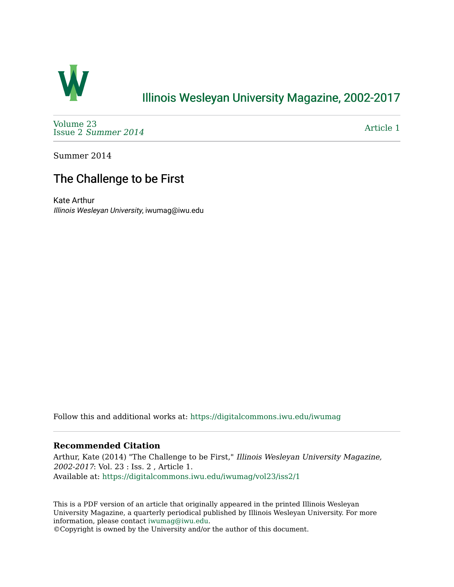

## [Illinois Wesleyan University Magazine, 2002-2017](https://digitalcommons.iwu.edu/iwumag)

[Volume 23](https://digitalcommons.iwu.edu/iwumag/vol23)  Issue 2 [Summer 2014](https://digitalcommons.iwu.edu/iwumag/vol23/iss2) 

[Article 1](https://digitalcommons.iwu.edu/iwumag/vol23/iss2/1) 

Summer 2014

# The Challenge to be First

Kate Arthur Illinois Wesleyan University, iwumag@iwu.edu

Follow this and additional works at: [https://digitalcommons.iwu.edu/iwumag](https://digitalcommons.iwu.edu/iwumag?utm_source=digitalcommons.iwu.edu%2Fiwumag%2Fvol23%2Fiss2%2F1&utm_medium=PDF&utm_campaign=PDFCoverPages) 

#### **Recommended Citation**

Arthur, Kate (2014) "The Challenge to be First," Illinois Wesleyan University Magazine, 2002-2017: Vol. 23 : Iss. 2 , Article 1. Available at: [https://digitalcommons.iwu.edu/iwumag/vol23/iss2/1](https://digitalcommons.iwu.edu/iwumag/vol23/iss2/1?utm_source=digitalcommons.iwu.edu%2Fiwumag%2Fvol23%2Fiss2%2F1&utm_medium=PDF&utm_campaign=PDFCoverPages)

This is a PDF version of an article that originally appeared in the printed Illinois Wesleyan University Magazine, a quarterly periodical published by Illinois Wesleyan University. For more information, please contact [iwumag@iwu.edu](mailto:iwumag@iwu.edu).

©Copyright is owned by the University and/or the author of this document.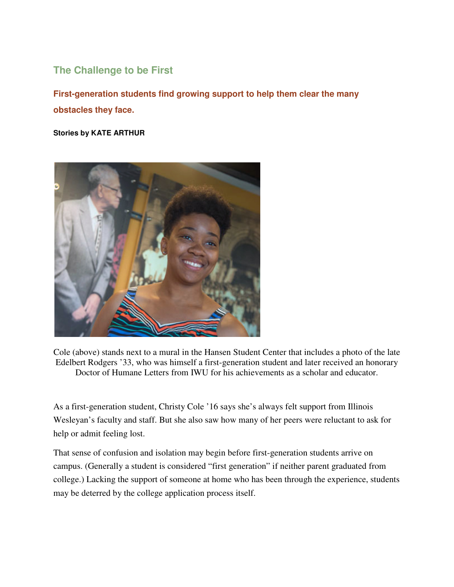## **The Challenge to be First**

**First-generation students find growing support to help them clear the many obstacles they face.** 

**Stories by KATE ARTHUR** 



Cole (above) stands next to a mural in the Hansen Student Center that includes a photo of the late Edelbert Rodgers '33, who was himself a first-generation student and later received an honorary Doctor of Humane Letters from IWU for his achievements as a scholar and educator.

As a first-generation student, Christy Cole '16 says she's always felt support from Illinois Wesleyan's faculty and staff. But she also saw how many of her peers were reluctant to ask for help or admit feeling lost.

That sense of confusion and isolation may begin before first-generation students arrive on campus. (Generally a student is considered "first generation" if neither parent graduated from college.) Lacking the support of someone at home who has been through the experience, students may be deterred by the college application process itself.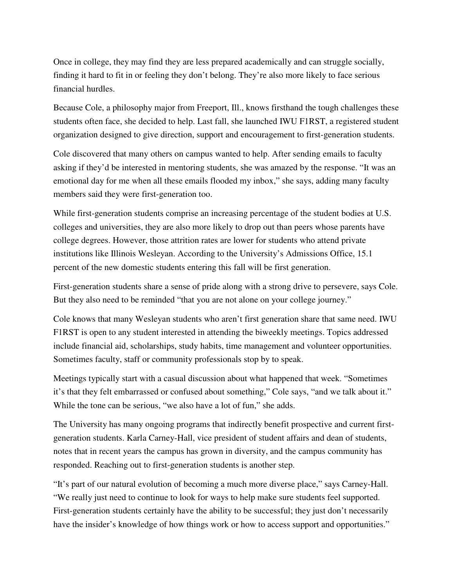Once in college, they may find they are less prepared academically and can struggle socially, finding it hard to fit in or feeling they don't belong. They're also more likely to face serious financial hurdles.

Because Cole, a philosophy major from Freeport, Ill., knows firsthand the tough challenges these students often face, she decided to help. Last fall, she launched IWU F1RST, a registered student organization designed to give direction, support and encouragement to first-generation students.

Cole discovered that many others on campus wanted to help. After sending emails to faculty asking if they'd be interested in mentoring students, she was amazed by the response. "It was an emotional day for me when all these emails flooded my inbox," she says, adding many faculty members said they were first-generation too.

While first-generation students comprise an increasing percentage of the student bodies at U.S. colleges and universities, they are also more likely to drop out than peers whose parents have college degrees. However, those attrition rates are lower for students who attend private institutions like Illinois Wesleyan. According to the University's Admissions Office, 15.1 percent of the new domestic students entering this fall will be first generation.

First-generation students share a sense of pride along with a strong drive to persevere, says Cole. But they also need to be reminded "that you are not alone on your college journey."

Cole knows that many Wesleyan students who aren't first generation share that same need. IWU F1RST is open to any student interested in attending the biweekly meetings. Topics addressed include financial aid, scholarships, study habits, time management and volunteer opportunities. Sometimes faculty, staff or community professionals stop by to speak.

Meetings typically start with a casual discussion about what happened that week. "Sometimes it's that they felt embarrassed or confused about something," Cole says, "and we talk about it." While the tone can be serious, "we also have a lot of fun," she adds.

The University has many ongoing programs that indirectly benefit prospective and current firstgeneration students. Karla Carney-Hall, vice president of student affairs and dean of students, notes that in recent years the campus has grown in diversity, and the campus community has responded. Reaching out to first-generation students is another step.

"It's part of our natural evolution of becoming a much more diverse place," says Carney-Hall. "We really just need to continue to look for ways to help make sure students feel supported. First-generation students certainly have the ability to be successful; they just don't necessarily have the insider's knowledge of how things work or how to access support and opportunities."